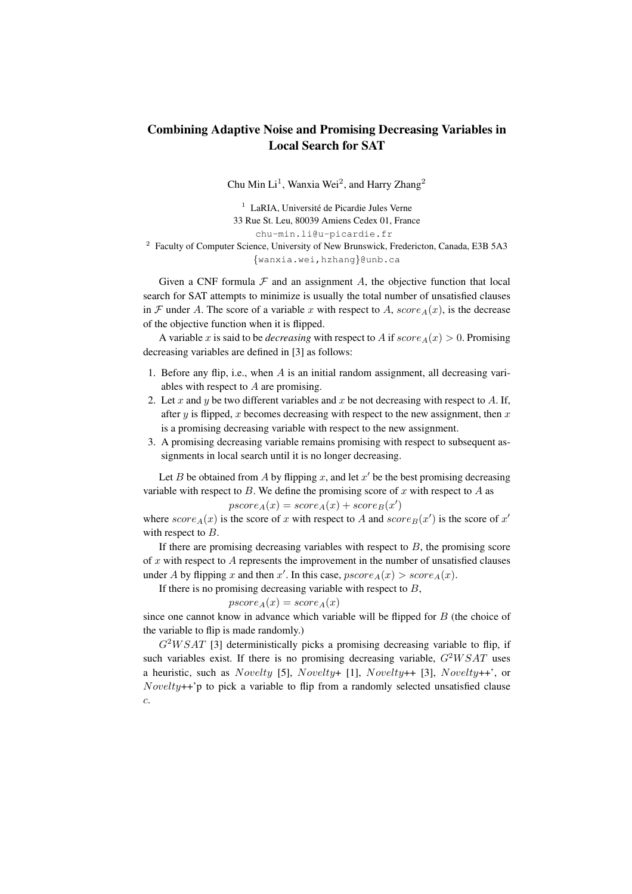## Combining Adaptive Noise and Promising Decreasing Variables in Local Search for SAT

Chu Min Li<sup>1</sup>, Wanxia Wei<sup>2</sup>, and Harry Zhang<sup>2</sup>

<sup>1</sup> LaRIA, Université de Picardie Jules Verne 33 Rue St. Leu, 80039 Amiens Cedex 01, France chu-min.li@u-picardie.fr

<sup>2</sup> Faculty of Computer Science, University of New Brunswick, Fredericton, Canada, E3B 5A3 {wanxia.wei,hzhang}@unb.ca

Given a CNF formula  $\mathcal F$  and an assignment  $A$ , the objective function that local search for SAT attempts to minimize is usually the total number of unsatisfied clauses in F under A. The score of a variable x with respect to A,  $score_A(x)$ , is the decrease of the objective function when it is flipped.

A variable x is said to be *decreasing* with respect to A if  $score_A(x) > 0$ . Promising decreasing variables are defined in [3] as follows:

- 1. Before any flip, i.e., when  $A$  is an initial random assignment, all decreasing variables with respect to A are promising.
- 2. Let x and y be two different variables and x be not decreasing with respect to A. If, after y is flipped, x becomes decreasing with respect to the new assignment, then  $x$ is a promising decreasing variable with respect to the new assignment.
- 3. A promising decreasing variable remains promising with respect to subsequent assignments in local search until it is no longer decreasing.

Let B be obtained from A by flipping x, and let  $x'$  be the best promising decreasing variable with respect to B. We define the promising score of x with respect to A as

$$
pscore_A(x) = score_A(x) + score_B(x')
$$

where  $score_A(x)$  is the score of x with respect to A and  $score_B(x')$  is the score of x' with respect to  $B$ .

If there are promising decreasing variables with respect to  $B$ , the promising score of  $x$  with respect to  $A$  represents the improvement in the number of unsatisfied clauses under A by flipping x and then x'. In this case,  $pscore_A(x) > score_A(x)$ .

If there is no promising decreasing variable with respect to  $B$ ,

$$
pscore_A(x) = score_A(x)
$$

since one cannot know in advance which variable will be flipped for  $B$  (the choice of the variable to flip is made randomly.)

 $G<sup>2</sup>WSAT$  [3] deterministically picks a promising decreasing variable to flip, if such variables exist. If there is no promising decreasing variable,  $G<sup>2</sup>WSAT$  uses a heuristic, such as Novelty [5], Novelty+ [1], Novelty++ [3], Novelty++', or  $Nowelly++'p$  to pick a variable to flip from a randomly selected unsatisfied clause c.